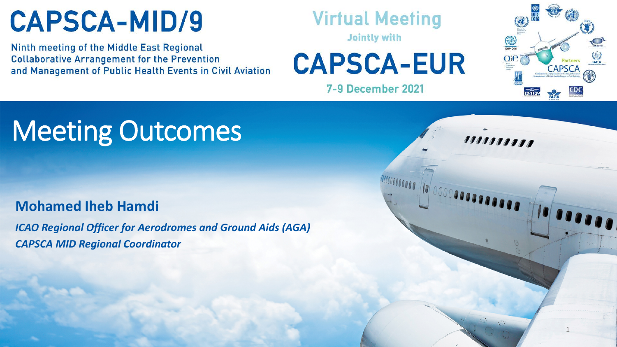Ninth meeting of the Middle East Regional **Collaborative Arrangement for the Prevention** and Management of Public Health Events in Civil Aviation

#### **Virtual Meeting**

**Jointly with** 

**CAPSCA-EUR** 

**7-9 December 2021** 



### Meeting Outcomes

#### **Mohamed Iheb Hamdi**

*ICAO Regional Officer for Aerodromes and Ground Aids (AGA) CAPSCA MID Regional Coordinator*

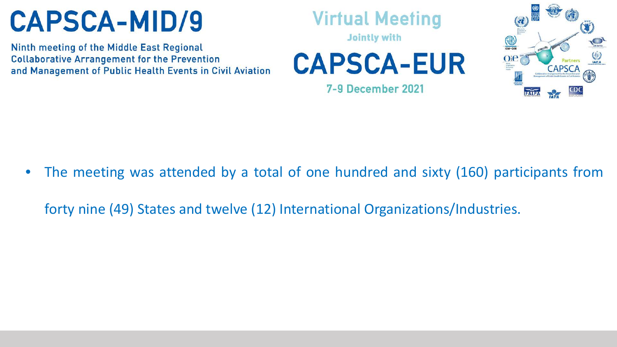Ninth meeting of the Middle East Regional **Collaborative Arrangement for the Prevention** and Management of Public Health Events in Civil Aviation **Virtual Meeting** 

**Jointly with** 

**CAPSCA-EUR** 

**7-9 December 2021** 



The meeting was attended by a total of one hundred and sixty (160) participants from

forty nine (49) States and twelve (12) International Organizations/Industries.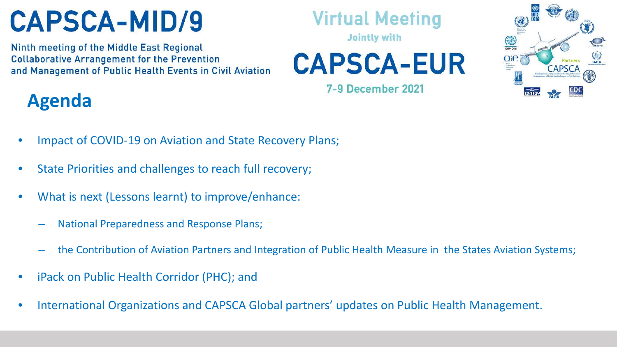Ninth meeting of the Middle East Regional **Collaborative Arrangement for the Prevention** and Management of Public Health Events in Civil Aviation **Virtual Meeting** 

**Jointly with** 

**CAPSCA-EUR** 

7-9 December 2021



#### **Agenda**

- Impact of COVID-19 on Aviation and State Recovery Plans;
- State Priorities and challenges to reach full recovery;
- What is next (Lessons learnt) to improve/enhance:
	- National Preparedness and Response Plans;
	- the Contribution of Aviation Partners and Integration of Public Health Measure in the States Aviation Systems;
- iPack on Public Health Corridor (PHC); and
- International Organizations and CAPSCA Global partners' updates on Public Health Management.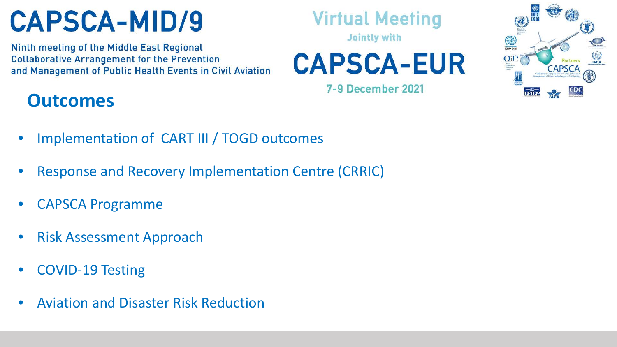Ninth meeting of the Middle East Regional **Collaborative Arrangement for the Prevention** and Management of Public Health Events in Civil Aviation

#### **Virtual Meeting**

**Jointly with** 

**CAPSCA-EUR** 

**7-9 December 2021** 



#### **Outcomes**

- Implementation of CART III / TOGD outcomes
- Response and Recovery Implementation Centre (CRRIC)
- CAPSCA Programme
- Risk Assessment Approach
- COVID-19 Testing
- Aviation and Disaster Risk Reduction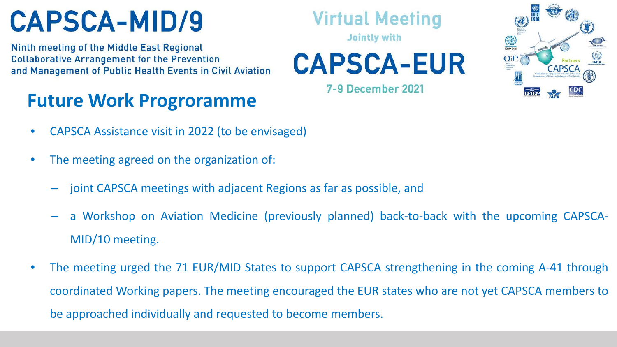Ninth meeting of the Middle East Regional **Collaborative Arrangement for the Prevention** and Management of Public Health Events in Civil Aviation

#### **Future Work Progroramme**

- CAPSCA Assistance visit in 2022 (to be envisaged)
- The meeting agreed on the organization of:
	- joint CAPSCA meetings with adjacent Regions as far as possible, and
	- a Workshop on Aviation Medicine (previously planned) back-to-back with the upcoming CAPSCA-MID/10 meeting.
- The meeting urged the 71 EUR/MID States to support CAPSCA strengthening in the coming A-41 through coordinated Working papers. The meeting encouraged the EUR states who are not yet CAPSCA members to be approached individually and requested to become members.



**Jointly with** 

**CAPSCA-EUR** 

**7-9 December 2021**